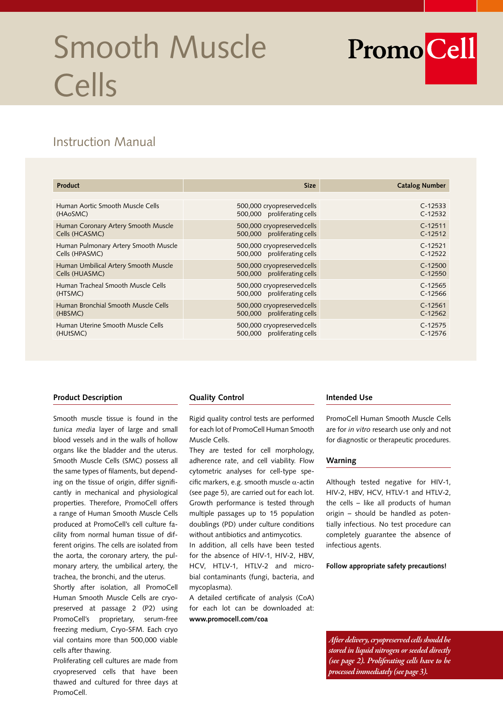# Smooth Muscle Cells



# Instruction Manual

| <b>Product</b>                       | <b>Size</b>                 | <b>Catalog Number</b> |
|--------------------------------------|-----------------------------|-----------------------|
|                                      |                             |                       |
| Human Aortic Smooth Muscle Cells     | 500,000 cryopreserved cells | $C-12533$             |
| (HAoSMC)                             | 500,000 proliferating cells | $C-12532$             |
| Human Coronary Artery Smooth Muscle  | 500,000 cryopreserved cells | $C-12511$             |
| Cells (HCASMC)                       | 500,000 proliferating cells | $C-12512$             |
| Human Pulmonary Artery Smooth Muscle | 500,000 cryopreserved cells | $C-12521$             |
| Cells (HPASMC)                       | 500,000 proliferating cells | $C-12522$             |
| Human Umbilical Artery Smooth Muscle | 500,000 cryopreserved cells | $C-12500$             |
| Cells (HUASMC)                       | 500,000 proliferating cells | $C-12550$             |
| Human Tracheal Smooth Muscle Cells   | 500,000 cryopreserved cells | $C-12565$             |
| (HTSMC)                              | 500,000 proliferating cells | $C-12566$             |
| Human Bronchial Smooth Muscle Cells  | 500,000 cryopreserved cells | $C-12561$             |
| (HBSMC)                              | 500,000 proliferating cells | $C-12562$             |
| Human Uterine Smooth Muscle Cells    | 500,000 cryopreserved cells | $C-12575$             |
| (HUtSMC)                             | 500,000 proliferating cells | $C-12576$             |

# **Product Description**

Smooth muscle tissue is found in the *tunica media* layer of large and small blood vessels and in the walls of hollow organs like the bladder and the uterus. Smooth Muscle Cells (SMC) possess all the same types of filaments, but depending on the tissue of origin, differ significantly in mechanical and physiological properties. Therefore, PromoCell offers a range of Human Smooth Muscle Cells produced at PromoCell's cell culture facility from normal human tissue of different origins. The cells are isolated from the aorta, the coronary artery, the pulmonary artery, the umbilical artery, the trachea, the bronchi, and the uterus.

Shortly after isolation, all PromoCell Human Smooth Muscle Cells are cryopreserved at passage 2 (P2) using PromoCell's proprietary, serum-free freezing medium, Cryo-SFM. Each cryo vial contains more than 500,000 viable cells after thawing.

Proliferating cell cultures are made from cryopreserved cells that have been thawed and cultured for three days at PromoCell.

#### **Quality Control**

Rigid quality control tests are performed for each lot of PromoCell Human Smooth Muscle Cells.

They are tested for cell morphology, adherence rate, and cell viability. Flow cytometric analyses for cell-type specific markers, e.g. smooth muscle  $\alpha$ -actin (see page 5), are carried out for each lot. Growth performance is tested through multiple passages up to 15 population doublings (PD) under culture conditions without antibiotics and antimycotics.

In addition, all cells have been tested for the absence of HIV-1, HIV-2, HBV, HCV, HTLV-1, HTLV-2 and microbial contaminants (fungi, bacteria, and mycoplasma).

A detailed certificate of analysis (CoA) for each lot can be downloaded at: **www.promocell.com/coa**

#### **Intended Use**

PromoCell Human Smooth Muscle Cells are for *in vitro* research use only and not for diagnostic or therapeutic procedures.

#### **Warning**

Although tested negative for HIV-1, HIV-2, HBV, HCV, HTLV-1 and HTLV-2, the cells – like all products of human origin – should be handled as potentially infectious. No test procedure can completely guarantee the absence of infectious agents.

**Follow appropriate safety precautions!**

*After delivery, cryopreserved cells should be stored in liquid nitrogen or seeded directly (see page 2). Proliferating cells have to be processed immediately (see page 3).*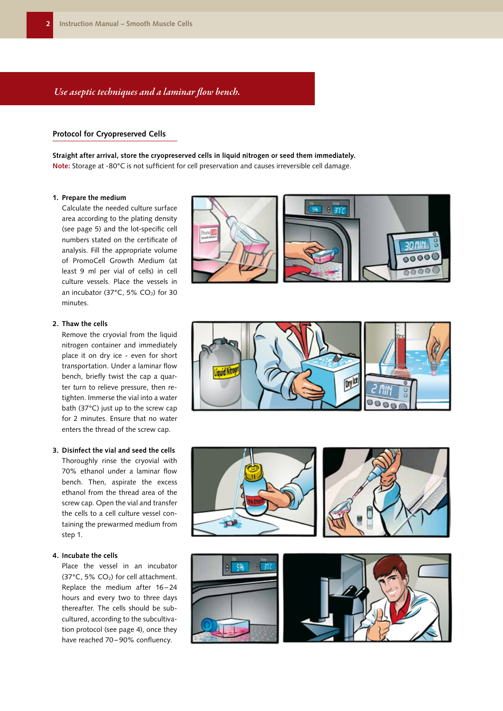# *Use aseptic techniques and a laminar flow bench.*

## **Protocol for Cryopreserved Cells**

**Straight after arrival, store the cryopreserved cells in liquid nitrogen or seed them immediately. Note:** Storage at -80°C is not sufficient for cell preservation and causes irreversible cell damage.

#### **1. Prepare the medium**

Calculate the needed culture surface area according to the plating density (see page 5) and the lot-specific cell numbers stated on the certificate of analysis. Fill the appropriate volume of PromoCell Growth Medium (at least 9 ml per vial of cells) in cell culture vessels. Place the vessels in an incubator (37 $^{\circ}$ C, 5% CO<sub>2</sub>) for 30 minutes.



Remove the cryovial from the liquid nitrogen container and immediately place it on dry ice - even for short transportation. Under a laminar flow bench, briefly twist the cap a quarter turn to relieve pressure, then retighten. Immerse the vial into a water bath (37°C) just up to the screw cap for 2 minutes. Ensure that no water enters the thread of the screw cap.

#### **3. Disinfect the vial and seed the cells**

Thoroughly rinse the cryovial with 70% ethanol under a laminar flow bench. Then, aspirate the excess ethanol from the thread area of the screw cap. Open the vial and transfer the cells to a cell culture vessel containing the prewarmed medium from step 1.

#### **4. Incubate the cells**

Place the vessel in an incubator (37 $^{\circ}$ C, 5% CO<sub>2</sub>) for cell attachment. Replace the medium after 16-24 hours and every two to three days thereafter. The cells should be subcultured, according to the subcultivation protocol (see page 4), once they have reached 70-90% confluency.









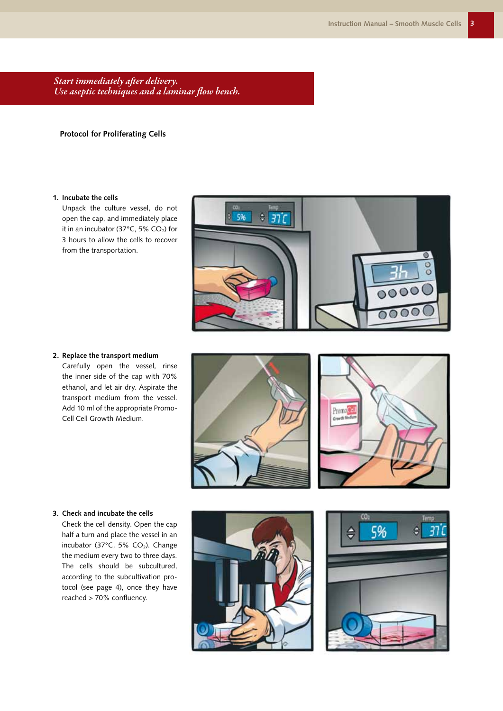*Start immediately after delivery. Use aseptic techniques and a laminar flow bench.*

**Protocol for Proliferating Cells**

#### **1. Incubate the cells**

Unpack the culture vessel, do not open the cap, and immediately place it in an incubator (37 $^{\circ}$ C, 5% CO<sub>2</sub>) for 3 hours to allow the cells to recover from the transportation.



**2. Replace the transport medium** Carefully open the vessel, rinse the inner side of the cap with 70% ethanol, and let air dry. Aspirate the transport medium from the vessel. Add 10 ml of the appropriate Promo-Cell Cell Growth Medium.





#### **3. Check and incubate the cells**

Check the cell density. Open the cap half a turn and place the vessel in an incubator (37 $^{\circ}$ C, 5% CO<sub>2</sub>). Change the medium every two to three days. The cells should be subcultured, according to the subcultivation protocol (see page 4), once they have reached > 70% confluency.



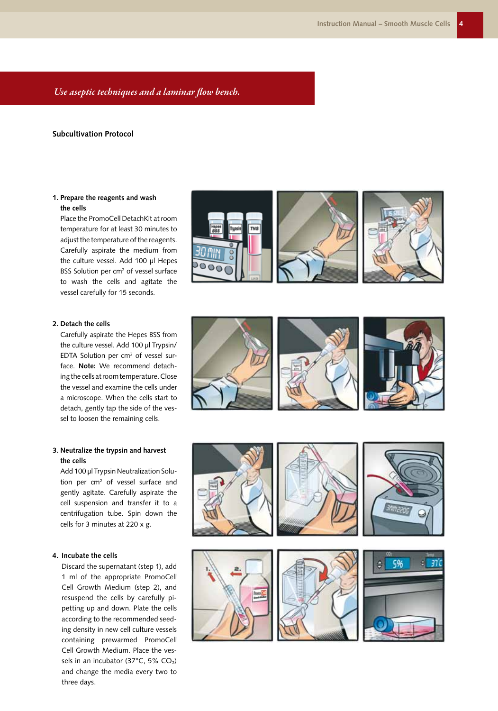## *Use aseptic techniques and a laminar flow bench.*

#### **Subcultivation Protocol**

## **1. Prepare the reagents and wash the cells**

Place the PromoCell DetachKit at room temperature for at least 30 minutes to adjust the temperature of the reagents. Carefully aspirate the medium from the culture vessel. Add 100 µl Hepes BSS Solution per cm<sup>2</sup> of vessel surface to wash the cells and agitate the vessel carefully for 15 seconds.



Carefully aspirate the Hepes BSS from the culture vessel. Add 100 µl Trypsin/  $EDTA$  Solution per  $cm<sup>2</sup>$  of vessel surface. **Note:** We recommend detaching the cells at room temperature. Close the vessel and examine the cells under a microscope. When the cells start to detach, gently tap the side of the vessel to loosen the remaining cells.

## **3. Neutralize the trypsin and harvest the cells**

Add 100 µl Trypsin Neutralization Solution per cm<sup>2</sup> of vessel surface and gently agitate. Carefully aspirate the cell suspension and transfer it to a centrifugation tube. Spin down the cells for 3 minutes at 220 x g.

#### **4. Incubate the cells**

Discard the supernatant (step 1), add 1 ml of the appropriate PromoCell Cell Growth Medium (step 2), and resuspend the cells by carefully pipetting up and down. Plate the cells according to the recommended seeding density in new cell culture vessels containing prewarmed PromoCell Cell Growth Medium. Place the vessels in an incubator (37°C, 5% CO<sub>2</sub>) and change the media every two to three days.





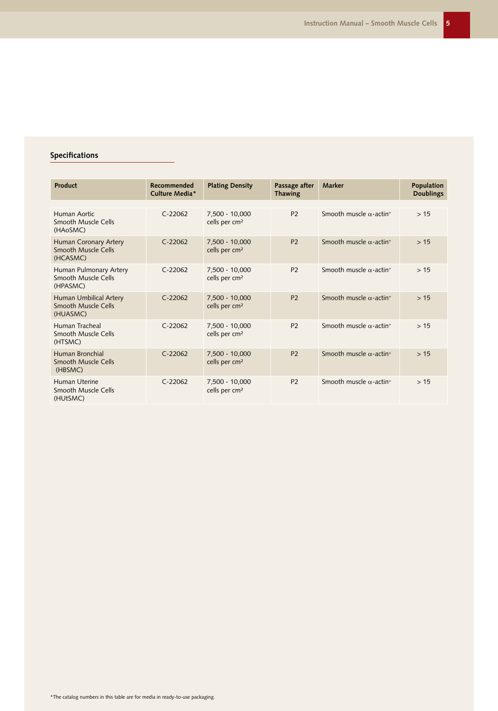# **Specifications**

| Product                                                   | Recommended<br>Culture Media* | <b>Plating Density</b>                      | Passage after<br><b>Thawing</b> | Marker                                     | Population<br><b>Doublings</b> |
|-----------------------------------------------------------|-------------------------------|---------------------------------------------|---------------------------------|--------------------------------------------|--------------------------------|
| Human Aortic<br>Smooth Muscle Cells<br>(HAoSMC)           | $C-22062$                     | 7,500 - 10,000<br>cells per cm <sup>2</sup> | <b>P2</b>                       | Smooth muscle $\alpha$ -actin <sup>+</sup> | >15                            |
| Human Coronary Artery<br>Smooth Muscle Cells<br>(HCASMC)  | $C-22062$                     | 7,500 - 10,000<br>cells per cm <sup>2</sup> | <b>P2</b>                       | Smooth muscle $\alpha$ -actin <sup>+</sup> | >15                            |
| Human Pulmonary Artery<br>Smooth Muscle Cells<br>(HPASMC) | $C-22062$                     | 7,500 - 10,000<br>cells per cm <sup>2</sup> | P <sub>2</sub>                  | Smooth muscle $\alpha$ -actin <sup>+</sup> | >15                            |
| Human Umbilical Artery<br>Smooth Muscle Cells<br>(HUASMC) | $C-22062$                     | 7,500 - 10,000<br>cells per cm <sup>2</sup> | <b>P2</b>                       | Smooth muscle $\alpha$ -actin <sup>+</sup> | >15                            |
| Human Tracheal<br>Smooth Muscle Cells<br>(HTSMC)          | $C-22062$                     | 7,500 - 10,000<br>cells per cm <sup>2</sup> | P <sub>2</sub>                  | Smooth muscle $\alpha$ -actin <sup>+</sup> | >15                            |
| Human Bronchial<br>Smooth Muscle Cells<br>(HBSMC)         | $C-22062$                     | 7,500 - 10,000<br>cells per cm <sup>2</sup> | <b>P2</b>                       | Smooth muscle $\alpha$ -actin <sup>+</sup> | >15                            |
| Human Uterine<br>Smooth Muscle Cells<br>(HUtSMC)          | $C-22062$                     | 7,500 - 10,000<br>cells per cm <sup>2</sup> | P <sub>2</sub>                  | Smooth muscle $\alpha$ -actin <sup>+</sup> | >15                            |